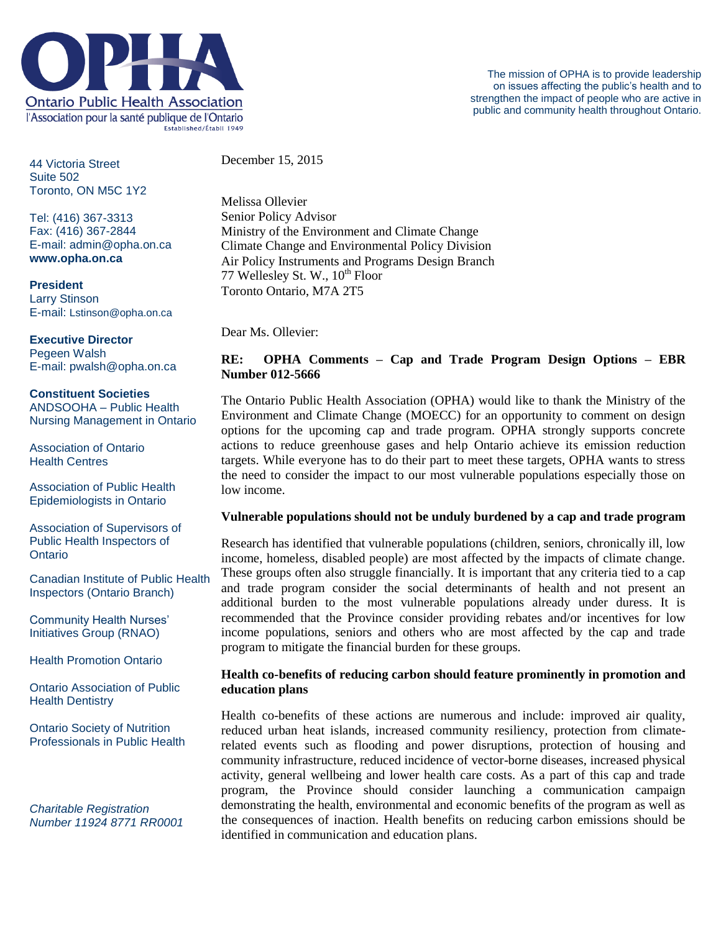

44 Victoria Street Suite 502 Toronto, ON M5C 1Y2

Tel: (416) 367-3313 Fax: (416) 367-2844 E-mail: admin@opha.on.ca **www.opha.on.ca**

**President** Larry Stinson E-mail: Lstinson@opha.on.ca

**Executive Director** Pegeen Walsh E-mail: pwalsh@opha.on.ca

**Constituent Societies** ANDSOOHA – Public Health Nursing Management in Ontario

Association of Ontario Health Centres

Association of Public Health Epidemiologists in Ontario

Association of Supervisors of Public Health Inspectors of **Ontario** 

Canadian Institute of Public Health Inspectors (Ontario Branch)

Community Health Nurses' Initiatives Group (RNAO)

Health Promotion Ontario

Ontario Association of Public Health Dentistry

Ontario Society of Nutrition Professionals in Public Health

*Charitable Registration Number 11924 8771 RR0001* December 15, 2015

Melissa Ollevier Senior Policy Advisor Ministry of the Environment and Climate Change Climate Change and Environmental Policy Division Air Policy Instruments and Programs Design Branch 77 Wellesley St. W.,  $10^{th}$  Floor Toronto Ontario, M7A 2T5

Dear Ms. Ollevier:

# **RE: OPHA Comments – Cap and Trade Program Design Options – EBR Number 012-5666**

The Ontario Public Health Association (OPHA) would like to thank the Ministry of the Environment and Climate Change (MOECC) for an opportunity to comment on design options for the upcoming cap and trade program. OPHA strongly supports concrete actions to reduce greenhouse gases and help Ontario achieve its emission reduction targets. While everyone has to do their part to meet these targets, OPHA wants to stress the need to consider the impact to our most vulnerable populations especially those on low income.

### **Vulnerable populations should not be unduly burdened by a cap and trade program**

Research has identified that vulnerable populations (children, seniors, chronically ill, low income, homeless, disabled people) are most affected by the impacts of climate change. These groups often also struggle financially. It is important that any criteria tied to a cap and trade program consider the social determinants of health and not present an additional burden to the most vulnerable populations already under duress. It is recommended that the Province consider providing rebates and/or incentives for low income populations, seniors and others who are most affected by the cap and trade program to mitigate the financial burden for these groups.

### **Health co-benefits of reducing carbon should feature prominently in promotion and education plans**

Health co-benefits of these actions are numerous and include: improved air quality, reduced urban heat islands, increased community resiliency, protection from climaterelated events such as flooding and power disruptions, protection of housing and community infrastructure, reduced incidence of vector-borne diseases, increased physical activity, general wellbeing and lower health care costs. As a part of this cap and trade program, the Province should consider launching a communication campaign demonstrating the health, environmental and economic benefits of the program as well as the consequences of inaction. Health benefits on reducing carbon emissions should be identified in communication and education plans.